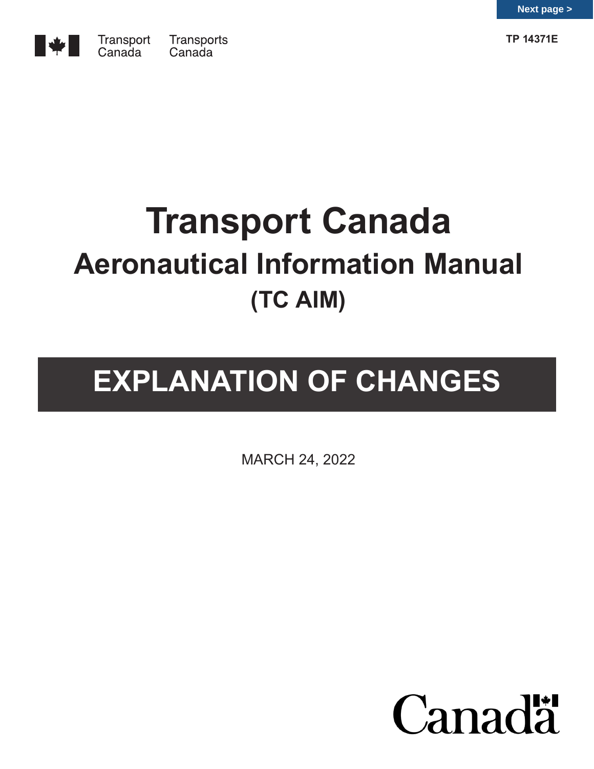



# **Transport Canada Aeronautical Information Manual (TC AIM)**

# **EXPLANATION OF CHANGES**

MARCH 24, 2022

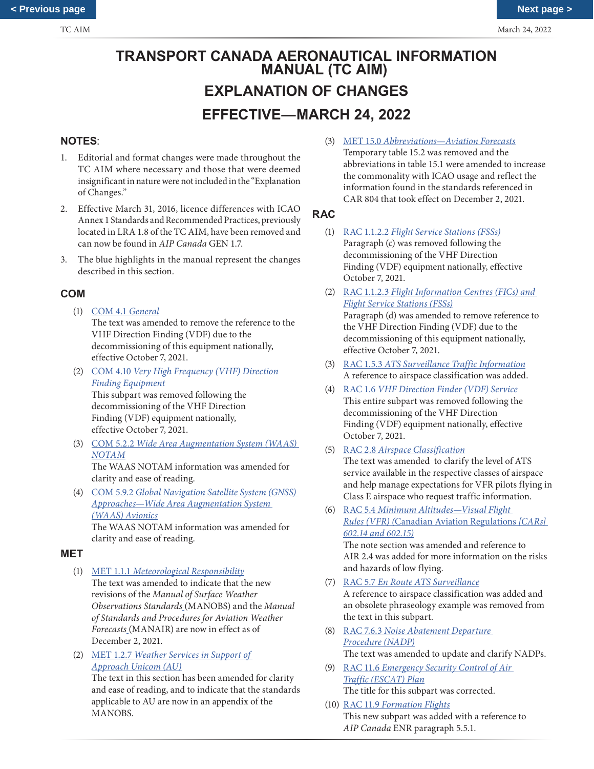# **TRANSPORT CANADA AERONAUTICAL INFORMATION MANUAL (TC AIM) EXPLANATION OF CHANGES EFFECTIVE—MARCH 24, 2022**

# **NOTES**:

- 1. Editorial and format changes were made throughout the TC AIM where necessary and those that were deemed insignificant in nature were not included in the "Explanation of Changes."
- 2. Effective March 31, 2016, licence differences with ICAO Annex 1 Standards and Recommended Practices, previously located in LRA 1.8 of the TC AIM, have been removed and can now be found in *AIP Canada* GEN 1.7.
- 3. The blue highlights in the manual represent the changes described in this section.

# **COM**

- (1) COM 4.1 *General* The text was amended to remove the reference to the VHF Direction Finding (VDF) due to the decommissioning of this equipment nationally, effective October 7, 2021.
- (2) COM 4.10 *Very High Frequency (VHF) Direction Finding Equipment* This subpart was removed following the decommissioning of the VHF Direction Finding (VDF) equipment nationally, effective October 7, 2021.
- (3) COM 5.2.2 *Wide Area Augmentation System (WAAS) NOTAM* The WAAS NOTAM information was amended for

clarity and ease of reading.

(4) COM 5.9.2 *Global Navigation Satellite System (GNSS) Approaches—Wide Area Augmentation System (WAAS) Avionics* The WAAS NOTAM information was amended for

clarity and ease of reading.

#### **MET**

- (1) MET 1.1.1 *Meteorological Responsibility* The text was amended to indicate that the new revisions of the *Manual of Surface Weather Observations Standards* (MANOBS) and the *Manual of Standards and Procedures for Aviation Weather Forecasts* (MANAIR) are now in effect as of December 2, 2021.
- (2) MET 1.2.7 *Weather Services in Support of Approach Unicom (AU)* The text in this section has been amended for clarity

and ease of reading, and to indicate that the standards applicable to AU are now in an appendix of the MANOBS.

(3) MET 15.0 *Abbreviations—Aviation Forecasts* Temporary table 15.2 was removed and the abbreviations in table 15.1 were amended to increase the commonality with ICAO usage and reflect the information found in the standards referenced in CAR 804 that took effect on December 2, 2021.

# **RAC**

- (1) RAC 1.1.2.2 *Flight Service Stations (FSSs)* Paragraph (c) was removed following the decommissioning of the VHF Direction Finding (VDF) equipment nationally, effective October 7, 2021.
- (2) RAC 1.1.2.3 *Flight Information Centres (FICs) and Flight Service Stations (FSSs)* Paragraph (d) was amended to remove reference to

the VHF Direction Finding (VDF) due to the decommissioning of this equipment nationally, effective October 7, 2021.

- (3) RAC 1.5.3 *ATS Surveillance Traffic Information* A reference to airspace classification was added.
- (4) RAC 1.6 *VHF Direction Finder (VDF) Service* This entire subpart was removed following the decommissioning of the VHF Direction Finding (VDF) equipment nationally, effective October 7, 2021.
- (5) RAC 2.8 *Airspace Classification*

The text was amended to clarify the level of ATS service available in the respective classes of airspace and help manage expectations for VFR pilots flying in Class E airspace who request traffic information.

(6) RAC 5.4 *Minimum Altitudes—Visual Flight Rules (VFR) (*Canadian Aviation Regulations *[CARs] 602.14 and 602.15)*

The note section was amended and reference to AIR 2.4 was added for more information on the risks and hazards of low flying.

- (7) RAC 5.7 *En Route ATS Surveillance* A reference to airspace classification was added and an obsolete phraseology example was removed from the text in this subpart.
- (8) RAC 7.6.3 *Noise Abatement Departure Procedure (NADP)* The text was amended to update and clarify NADPs.
- (9) RAC 11.6 *Emergency Security Control of Air Traffic (ESCAT) Plan* The title for this subpart was corrected.
- (10) RAC 11.9 *Formation Flights* This new subpart was added with a reference to *AIP Canada* ENR paragraph 5.5.1.